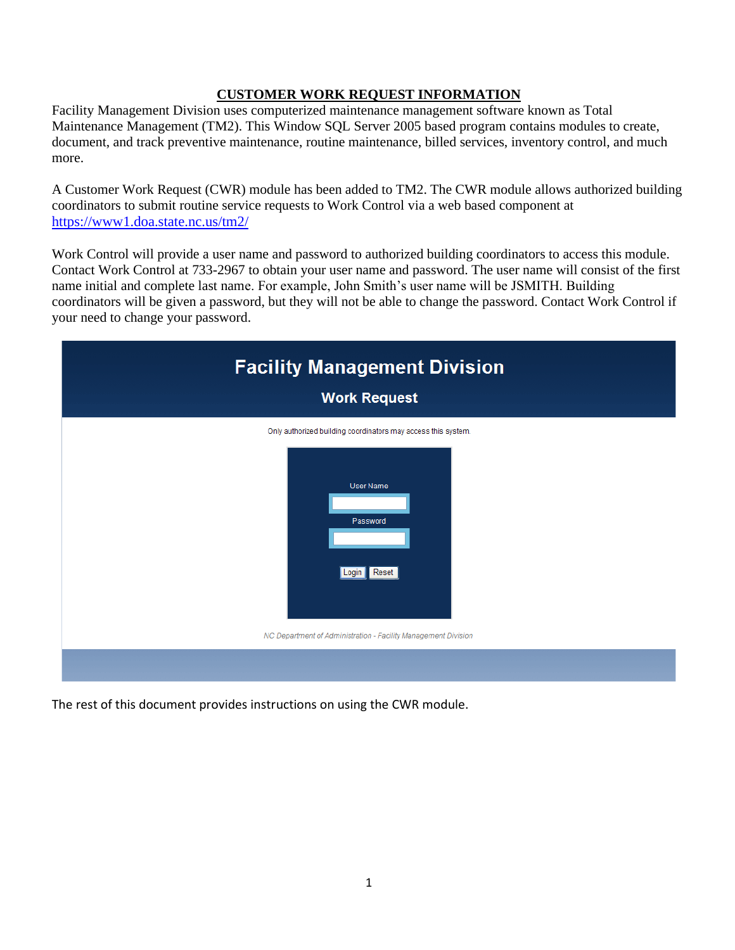# **CUSTOMER WORK REQUEST INFORMATION**

Facility Management Division uses computerized maintenance management software known as Total Maintenance Management (TM2). This Window SQL Server 2005 based program contains modules to create, document, and track preventive maintenance, routine maintenance, billed services, inventory control, and much more.

A Customer Work Request (CWR) module has been added to TM2. The CWR module allows authorized building coordinators to submit routine service requests to Work Control via a web based component at <https://www1.doa.state.nc.us/tm2/>

Work Control will provide a user name and password to authorized building coordinators to access this module. Contact Work Control at 733-2967 to obtain your user name and password. The user name will consist of the first name initial and complete last name. For example, John Smith's user name will be JSMITH. Building coordinators will be given a password, but they will not be able to change the password. Contact Work Control if your need to change your password.

| <b>Facility Management Division</b><br><b>Work Request</b>                                                      |
|-----------------------------------------------------------------------------------------------------------------|
| Only authorized building coordinators may access this system.<br><b>User Name</b><br>Password<br>Reset<br>Login |
| NC Department of Administration - Facility Management Division                                                  |

The rest of this document provides instructions on using the CWR module.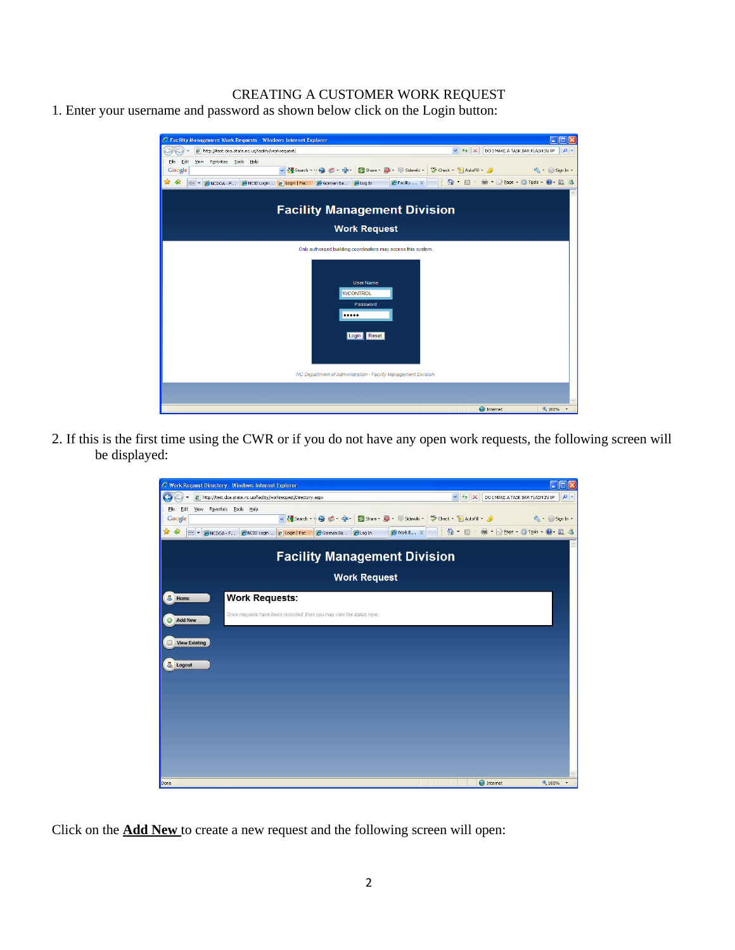## CREATING A CUSTOMER WORK REQUEST

1. Enter your username and password as shown below click on the Login button:



2. If this is the first time using the CWR or if you do not have any open work requests, the following screen will be displayed:



Click on the **Add New** to create a new request and the following screen will open: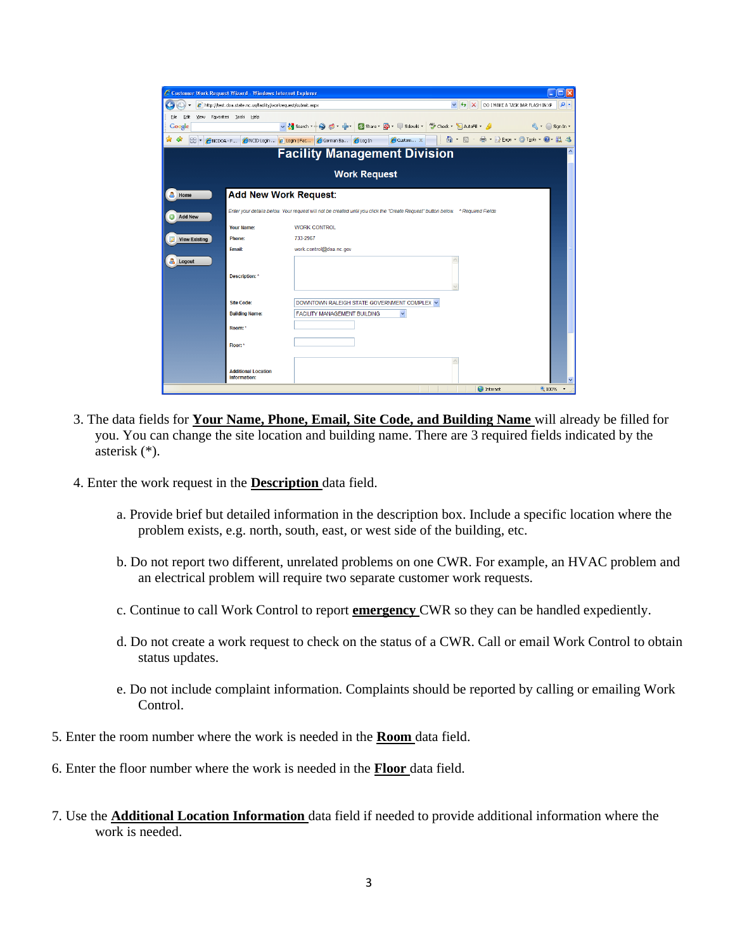| C Customer Work Request Wizard - Windows Internet Explorer |                                                                | l⊟lix                                                                                                                            |
|------------------------------------------------------------|----------------------------------------------------------------|----------------------------------------------------------------------------------------------------------------------------------|
|                                                            | e http://test.doa.state.nc.us/facility/workrequest/submit.aspx | $\rho$ .<br>$\vee$ $\rightarrow$ $\times$<br>DO I MAKE A TASK BAR FLASH IN XP                                                    |
| File<br>Edit                                               | View Favorites Tools Help                                      |                                                                                                                                  |
| Google                                                     |                                                                | v 3 Search → ● ● → → つ Share → 图 → 『Sidewiki → 等 Check → 旨 AutoFil → 』       《 → ○ Sign In →                                     |
| ☆ ☆                                                        |                                                                | <b>C</b> Custom x     ● B · B · B · B · B Page · © Tools · © 以 3<br>88 - ANCDOA - F ANCID Login  2 Login   Fac Corman Ba CLog In |
|                                                            |                                                                | <b>Facility Management Division</b><br>$\overline{\phantom{a}}$                                                                  |
|                                                            |                                                                | <b>Work Request</b>                                                                                                              |
| A<br>Home                                                  |                                                                | <b>Add New Work Request:</b>                                                                                                     |
| <b>Add New</b>                                             |                                                                | Enter your details below. Your request will not be created until you click the "Create Request" button below. * Required Fields  |
|                                                            | Your Name:                                                     | <b>WORK CONTROL</b>                                                                                                              |
| <b>View Existing</b>                                       | Phone:                                                         | 733-2967                                                                                                                         |
|                                                            | Email:                                                         | work.control@doa.nc.gov                                                                                                          |
| A.<br>Logout                                               |                                                                |                                                                                                                                  |
|                                                            | Description: *                                                 |                                                                                                                                  |
|                                                            | <b>Site Code:</b>                                              | DOWNTOWN RALEIGH STATE GOVERNMENT COMPLEX V                                                                                      |
|                                                            | <b>Building Name:</b>                                          | <b>FACILITY MANAGEMENT BUILDING</b><br>$\checkmark$                                                                              |
|                                                            | Room: *                                                        |                                                                                                                                  |
|                                                            | Floor: *                                                       |                                                                                                                                  |
|                                                            | <b>Additional Location</b><br>Information:                     |                                                                                                                                  |
|                                                            |                                                                | <b>O</b> Internet<br>电100% *                                                                                                     |

- 3. The data fields for **Your Name, Phone, Email, Site Code, and Building Name** will already be filled for you. You can change the site location and building name. There are 3 required fields indicated by the asterisk (\*).
- 4. Enter the work request in the **Description** data field.
	- a. Provide brief but detailed information in the description box. Include a specific location where the problem exists, e.g. north, south, east, or west side of the building, etc.
	- b. Do not report two different, unrelated problems on one CWR. For example, an HVAC problem and an electrical problem will require two separate customer work requests.
	- c. Continue to call Work Control to report **emergency** CWR so they can be handled expediently.
	- d. Do not create a work request to check on the status of a CWR. Call or email Work Control to obtain status updates.
	- e. Do not include complaint information. Complaints should be reported by calling or emailing Work Control.
- 5. Enter the room number where the work is needed in the **Room** data field.
- 6. Enter the floor number where the work is needed in the **Floor** data field.
- 7. Use the **Additional Location Information** data field if needed to provide additional information where the work is needed.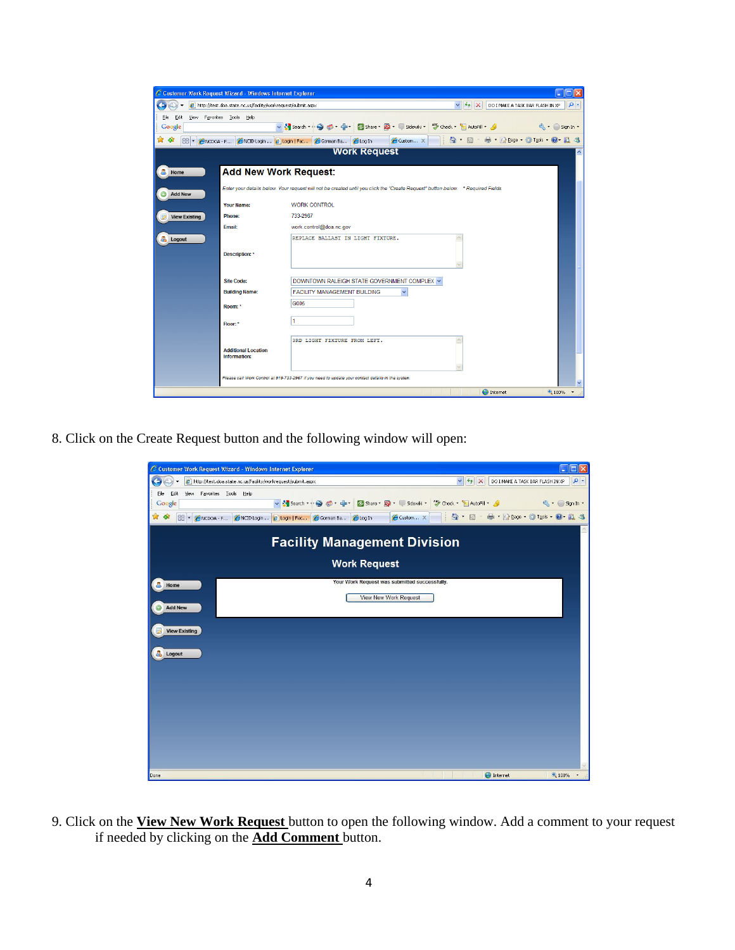|                      | C Customer Work Request Wizard - Windows Internet Explorer     |                                                                                                                                |
|----------------------|----------------------------------------------------------------|--------------------------------------------------------------------------------------------------------------------------------|
|                      | e http://test.doa.state.nc.us/facility/workrequest/submit.aspx | $\rho$ .<br>$4 \times$<br>$\checkmark$<br>DO I MAKE A TASK BAR FLASH IN XP                                                     |
| View<br>Edit<br>File | Favorites Tools Help                                           |                                                                                                                                |
| Google               |                                                                | v & Search * + O do * + + D Share * Q * U Sidewiki *<br>Theck * E AutoFill *<br>$\mathbb{R}$ $\cdot$ Sign In $\cdot$           |
| 53<br>48             | NCDOA - F CNCID Login  2 Login   Fac C Gorman Ba               | ■ · ☆ Page · ◎ Tools · ◎ 议 る<br>Custom X<br><b><i><u>elog</u>In</i></b>                                                        |
|                      |                                                                | <b>Work Request</b>                                                                                                            |
| А<br>Home            | <b>Add New Work Request:</b>                                   |                                                                                                                                |
| <b>Add New</b>       |                                                                | Enter your details below. Your request will not be created until you click the "Create Request" button below. *Required Fields |
|                      | Your Name:                                                     | WORK CONTROL                                                                                                                   |
| <b>View Existing</b> | <b>Phone:</b>                                                  | 733-2967                                                                                                                       |
|                      | Email:                                                         | work.control@doa.nc.gov                                                                                                        |
| a.<br>Logout         |                                                                | REPLACE BALLAST IN LIGHT FIXTURE.                                                                                              |
|                      | Description: *                                                 |                                                                                                                                |
|                      | <b>Site Code:</b>                                              | DOWNTOWN RALEIGH STATE GOVERNMENT COMPLEX V                                                                                    |
|                      | <b>Building Name:</b>                                          | <b>FACILITY MANAGEMENT BUILDING</b><br>$\checkmark$                                                                            |
|                      | Room: *                                                        | G005                                                                                                                           |
|                      | Floor: *                                                       | и                                                                                                                              |
|                      | <b>Additional Location</b><br><b>Information:</b>              | 3RD LIGHT FIXTURE FROM LEFT.                                                                                                   |
|                      |                                                                | Please call Work Control at 919-733-2967 if you need to update your contact details in the system.                             |
|                      |                                                                | <b>O</b> Internet<br><b>4 100%</b>                                                                                             |

8. Click on the Create Request button and the following window will open:



9. Click on the **View New Work Request** button to open the following window. Add a comment to your request if needed by clicking on the **Add Comment** button.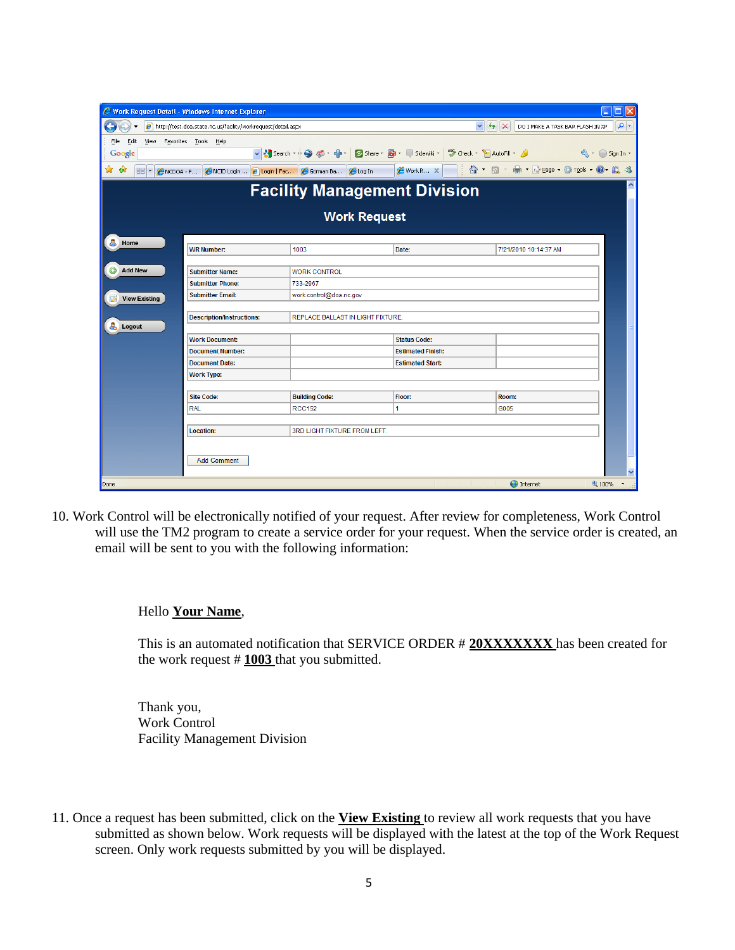| Work Request Detail - Windows Internet Explorer                      |                                                                |                                                |                                                                |                                                                            |
|----------------------------------------------------------------------|----------------------------------------------------------------|------------------------------------------------|----------------------------------------------------------------|----------------------------------------------------------------------------|
| ÷                                                                    | e http://test.doa.state.nc.us/facility/workrequest/detail.aspx |                                                | $\checkmark$                                                   | $\left  \cdot \right $ $\times$<br>- م<br>DO I MAKE A TASK BAR FLASH IN XP |
| Edit<br><b>View</b><br>F <u>a</u> vorites <u>T</u> ools Help<br>File |                                                                |                                                |                                                                |                                                                            |
| Google                                                               |                                                                |                                                |                                                                | $\left\langle \cdot\right\rangle$ Sign In $\cdot$                          |
| ☆<br>-97<br>88<br>NCDOA F<br>$\overline{\phantom{a}}$                |                                                                | NCID Login  2 Login   Fac 2 Gorman Ba 2 Log In | $\circledcirc$ $\cdot$ $\circledcirc$ $\circ$<br>Ħ<br>Work R X | ■ ・ ※ Page ・ ◎ Tools ・ ◎ ・ 説 る                                             |
|                                                                      |                                                                | <b>Facility Management Division</b>            |                                                                |                                                                            |
|                                                                      |                                                                | <b>Work Request</b>                            |                                                                |                                                                            |
| 8<br>Home                                                            |                                                                |                                                |                                                                |                                                                            |
|                                                                      | <b>WR Number:</b>                                              | 1003                                           | Date:                                                          | 7/21/2010 10:14:37 AM                                                      |
|                                                                      |                                                                |                                                |                                                                |                                                                            |
| $\bullet$<br><b>Add New</b>                                          | <b>Submitter Name:</b>                                         | <b>WORK CONTROL</b>                            |                                                                |                                                                            |
|                                                                      | <b>Submitter Phone:</b>                                        | 733-2967                                       |                                                                |                                                                            |
| <b>View Existing</b>                                                 | <b>Submitter Email:</b>                                        | work.control@doa.nc.gov                        |                                                                |                                                                            |
| å.<br>Logout                                                         | <b>Description/Instructions:</b>                               | REPLACE BALLAST IN LIGHT FIXTURE.              |                                                                |                                                                            |
|                                                                      | <b>Work Document:</b>                                          |                                                | <b>Status Code:</b>                                            |                                                                            |
|                                                                      | <b>Document Number:</b>                                        |                                                | <b>Estimated Finish:</b>                                       |                                                                            |
|                                                                      | <b>Document Date:</b>                                          |                                                | <b>Estimated Start:</b>                                        |                                                                            |
| <b>Work Type:</b>                                                    |                                                                |                                                |                                                                |                                                                            |
|                                                                      |                                                                |                                                |                                                                |                                                                            |
| <b>Site Code:</b>                                                    |                                                                | <b>Building Code:</b>                          | Floor:                                                         | Room:                                                                      |
| <b>RAL</b>                                                           |                                                                | <b>RCC152</b>                                  | 1                                                              | G005                                                                       |
|                                                                      |                                                                |                                                |                                                                |                                                                            |
| Location:                                                            |                                                                | 3RD LIGHT FIXTURE FROM LEFT.                   |                                                                |                                                                            |
|                                                                      |                                                                |                                                |                                                                |                                                                            |
|                                                                      | <b>Add Comment</b>                                             |                                                |                                                                |                                                                            |
|                                                                      |                                                                |                                                |                                                                |                                                                            |
| Done                                                                 |                                                                |                                                |                                                                | <b>O</b> Internet<br>● 100%                                                |

10. Work Control will be electronically notified of your request. After review for completeness, Work Control will use the TM2 program to create a service order for your request. When the service order is created, an email will be sent to you with the following information:

#### Hello **Your Name**,

This is an automated notification that SERVICE ORDER # **20XXXXXXX** has been created for the work request # **1003** that you submitted.

Thank you, Work Control Facility Management Division

11. Once a request has been submitted, click on the **View Existing** to review all work requests that you have submitted as shown below. Work requests will be displayed with the latest at the top of the Work Request screen. Only work requests submitted by you will be displayed.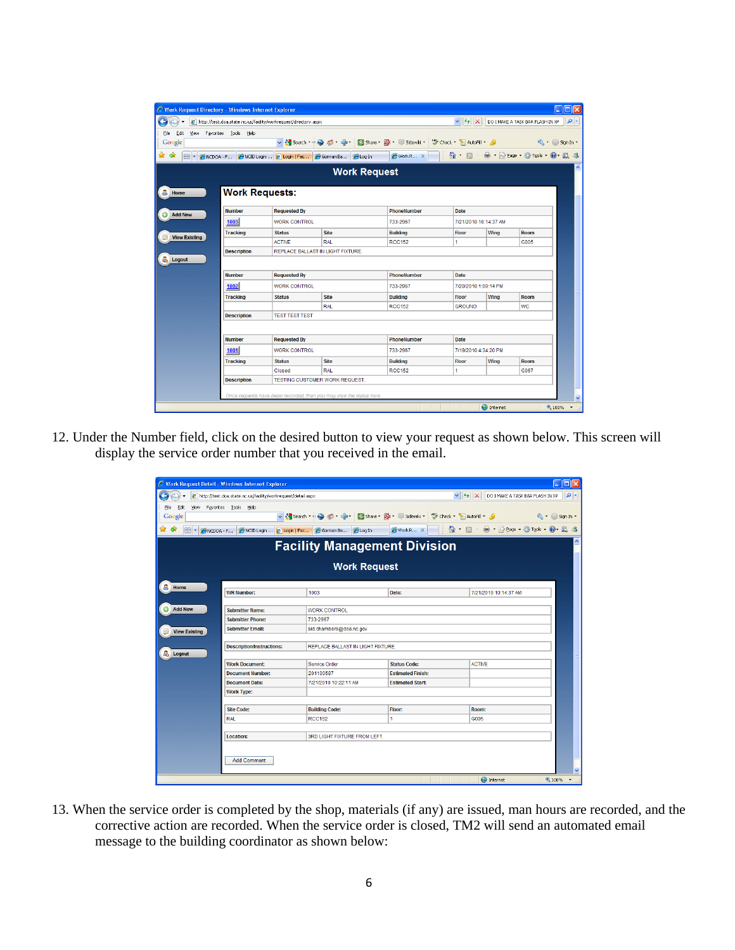| C Work Request Directory - Windows Internet Explorer |                       |                                                                   |                                                                     |                                                     |                       |                   |                                  | l⊓llx        |
|------------------------------------------------------|-----------------------|-------------------------------------------------------------------|---------------------------------------------------------------------|-----------------------------------------------------|-----------------------|-------------------|----------------------------------|--------------|
|                                                      |                       | e http://test.doa.state.nc.us/facility/workrequest/directory.aspx |                                                                     |                                                     | $ v $ $ v $ $ x $     |                   | DO I MAKE A TASK BAR FLASH IN XP | ۰ م          |
| File<br>Edit<br>View                                 | Favorites Tools Help  |                                                                   |                                                                     |                                                     |                       |                   |                                  |              |
| Google                                               |                       |                                                                   |                                                                     |                                                     |                       |                   |                                  |              |
| 47                                                   |                       |                                                                   | ANCDOA - F ANCID Login  2 Login   Fac A Gorman Ba 2 Log In          | A Work R x     ☆ F N F Her R Page + ☆ Tools + ● L 3 |                       |                   |                                  |              |
|                                                      |                       |                                                                   | <b>Work Request</b>                                                 |                                                     |                       |                   |                                  |              |
| д<br>Home                                            | <b>Work Requests:</b> |                                                                   |                                                                     |                                                     |                       |                   |                                  |              |
| <b>Add New</b>                                       | <b>Number</b>         | <b>Requested By</b>                                               |                                                                     | PhoneNumber                                         | <b>Date</b>           |                   |                                  |              |
|                                                      | 1003                  | <b>WORK CONTROL</b>                                               |                                                                     | 733-2967                                            | 7/21/2010 10:14:37 AM |                   |                                  |              |
| <b>View Existing</b>                                 | <b>Tracking</b>       | <b>Status</b>                                                     | <b>Site</b>                                                         | <b>Building</b>                                     | <b>Floor</b>          | Wing              | <b>Room</b>                      |              |
|                                                      |                       | <b>ACTIVE</b>                                                     | RAI                                                                 | <b>RCC152</b>                                       | 1                     |                   | G005                             |              |
|                                                      | <b>Description</b>    |                                                                   | REPLACE BALLAST IN LIGHT FIXTURE                                    |                                                     |                       |                   |                                  |              |
| a.<br>Logout                                         |                       |                                                                   |                                                                     |                                                     |                       |                   |                                  |              |
|                                                      | <b>Number</b>         | <b>Requested By</b>                                               |                                                                     | <b>PhoneNumber</b>                                  | <b>Date</b>           |                   |                                  |              |
|                                                      | 1002                  | <b>WORK CONTROL</b>                                               |                                                                     | 733-2967                                            | 7/20/2010 1:09:14 PM  |                   |                                  |              |
|                                                      | <b>Tracking</b>       | <b>Status</b>                                                     | <b>Site</b>                                                         | <b>Building</b>                                     | <b>Floor</b>          | Wing              | Room                             |              |
|                                                      |                       |                                                                   | <b>RAL</b>                                                          | <b>RCC152</b>                                       | <b>GROUND</b>         |                   | <b>WC</b>                        |              |
|                                                      | <b>Description</b>    | <b>TEST TEST TEST</b>                                             |                                                                     |                                                     |                       |                   |                                  |              |
|                                                      |                       |                                                                   |                                                                     |                                                     |                       |                   |                                  |              |
|                                                      | <b>Number</b>         | <b>Requested By</b>                                               |                                                                     | <b>PhoneNumber</b>                                  | Date                  |                   |                                  |              |
|                                                      | 1001                  | <b>WORK CONTROL</b>                                               |                                                                     | 733-2967                                            | 7/19/2010 4:34:20 PM  |                   |                                  |              |
|                                                      | <b>Tracking</b>       | <b>Status</b>                                                     | <b>Site</b>                                                         | <b>Building</b>                                     | <b>Floor</b>          | Wina              | Room                             |              |
|                                                      |                       | Closed                                                            | <b>RAL</b>                                                          | <b>RCC152</b>                                       | 1                     |                   | G067                             |              |
|                                                      | <b>Description</b>    |                                                                   | <b>TESTING CUSTOMER WORK REQUEST.</b>                               |                                                     |                       |                   |                                  |              |
|                                                      |                       |                                                                   | Once requests have been recorded, then you may view the status here |                                                     |                       |                   |                                  |              |
|                                                      |                       |                                                                   |                                                                     |                                                     |                       | <b>O</b> Internet |                                  | $\checkmark$ |
|                                                      |                       |                                                                   |                                                                     |                                                     |                       |                   |                                  | € 100%       |

12. Under the Number field, click on the desired button to view your request as shown below. This screen will display the service order number that you received in the email.

| e http://test.doa.state.nc.us/facility/workrequest/detail.aspx |                                                |                          | $\vee$ $\left  \leftarrow \right $ $\times$<br>DO I MAKE A TASK BAR FLASH IN XP |
|----------------------------------------------------------------|------------------------------------------------|--------------------------|---------------------------------------------------------------------------------|
|                                                                |                                                |                          |                                                                                 |
| View Favorites Tools<br>Help                                   |                                                |                          |                                                                                 |
|                                                                |                                                |                          |                                                                                 |
| NCDOA - F                                                      | NCID Login  2 Login   Fac C Gorman Ba C Log In | Work R X                 | <b>A b</b> · 日 · 日 · 日 · 2008 · ① Tools · ② Tools · ② 10                        |
|                                                                | <b>Facility Management Division</b>            |                          |                                                                                 |
|                                                                | <b>Work Request</b>                            |                          |                                                                                 |
|                                                                |                                                |                          |                                                                                 |
| <b>WR Number:</b>                                              | 1003                                           | Date:                    | 7/21/2010 10:14:37 AM                                                           |
| <b>Submitter Name:</b>                                         | <b>WORK CONTROL</b>                            |                          |                                                                                 |
| <b>Submitter Phone:</b>                                        | 733-2967                                       |                          |                                                                                 |
| <b>Submitter Email:</b>                                        | sid.chambers@doa.nc.gov                        |                          |                                                                                 |
|                                                                |                                                |                          |                                                                                 |
| <b>Description/Instructions:</b>                               | REPLACE BALLAST IN LIGHT FIXTURE.              |                          |                                                                                 |
|                                                                |                                                |                          |                                                                                 |
| <b>Work Document:</b>                                          | <b>Service Order</b>                           | <b>Status Code:</b>      | <b>ACTIVE</b>                                                                   |
| <b>Document Number:</b>                                        | 201100587                                      | <b>Estimated Finish:</b> |                                                                                 |
| <b>Document Date:</b>                                          | 7/21/2010 10:22:11 AM                          | <b>Estimated Start:</b>  |                                                                                 |
| <b>Work Type:</b>                                              |                                                |                          |                                                                                 |
|                                                                |                                                |                          |                                                                                 |
| Site Code:                                                     | <b>Building Code:</b>                          | Floor:                   | Room:                                                                           |
| <b>RAL</b>                                                     | <b>RCC152</b>                                  | 1                        | G005                                                                            |
|                                                                |                                                |                          |                                                                                 |
| Location:                                                      | 3RD LIGHT FIXTURE FROM LEFT.                   |                          |                                                                                 |
|                                                                |                                                |                          |                                                                                 |
|                                                                |                                                |                          |                                                                                 |
| <b>Add Comment</b>                                             |                                                |                          |                                                                                 |

13. When the service order is completed by the shop, materials (if any) are issued, man hours are recorded, and the corrective action are recorded. When the service order is closed, TM2 will send an automated email message to the building coordinator as shown below: